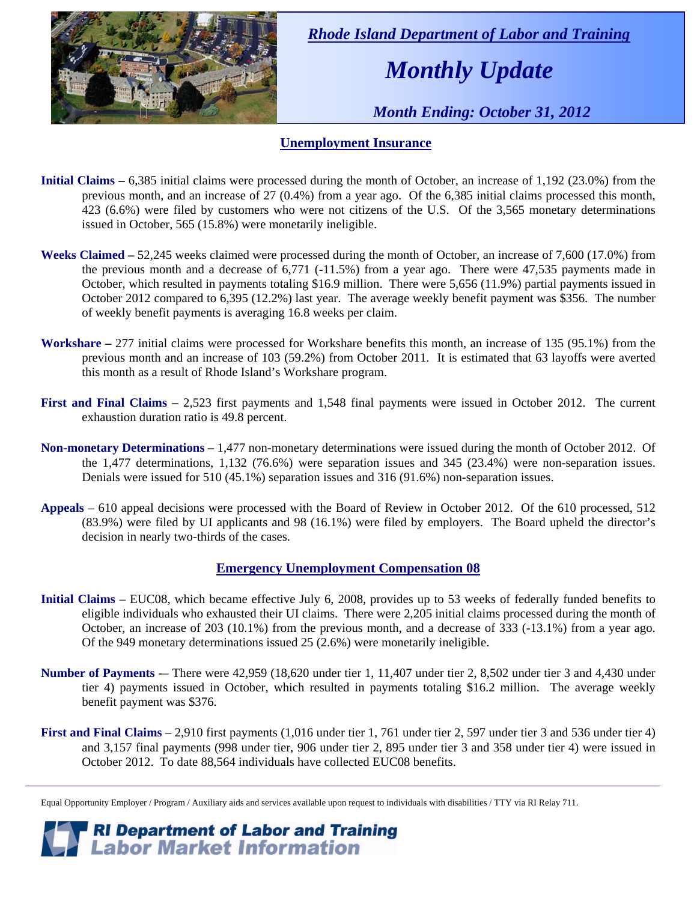

 *Rhode Island Department of Labor and Training* 

# *Monthly Update*

 *Month Ending: October 31, 2012* 

#### **Unemployment Insurance**

- **Initial Claims** 6,385 initial claims were processed during the month of October, an increase of 1,192 (23.0%) from the previous month, and an increase of 27 (0.4%) from a year ago. Of the 6,385 initial claims processed this month, 423 (6.6%) were filed by customers who were not citizens of the U.S. Of the 3,565 monetary determinations issued in October, 565 (15.8%) were monetarily ineligible.
- **Weeks Claimed** 52,245 weeks claimed were processed during the month of October, an increase of 7,600 (17.0%) from the previous month and a decrease of 6,771 (-11.5%) from a year ago. There were 47,535 payments made in October, which resulted in payments totaling \$16.9 million. There were 5,656 (11.9%) partial payments issued in October 2012 compared to 6,395 (12.2%) last year. The average weekly benefit payment was \$356. The number of weekly benefit payments is averaging 16.8 weeks per claim.
- **Workshare –** 277 initial claims were processed for Workshare benefits this month, an increase of 135 (95.1%) from the previous month and an increase of 103 (59.2%) from October 2011. It is estimated that 63 layoffs were averted this month as a result of Rhode Island's Workshare program.
- **First and Final Claims –** 2,523 first payments and 1,548 final payments were issued in October 2012. The current exhaustion duration ratio is 49.8 percent.
- **Non-monetary Determinations –** 1,477 non-monetary determinations were issued during the month of October 2012. Of the 1,477 determinations, 1,132 (76.6%) were separation issues and 345 (23.4%) were non-separation issues. Denials were issued for 510 (45.1%) separation issues and 316 (91.6%) non-separation issues.
- **Appeals** 610 appeal decisions were processed with the Board of Review in October 2012. Of the 610 processed, 512 (83.9%) were filed by UI applicants and 98 (16.1%) were filed by employers. The Board upheld the director's decision in nearly two-thirds of the cases.

#### **Emergency Unemployment Compensation 08**

- **Initial Claims**  EUC08, which became effective July 6, 2008, provides up to 53 weeks of federally funded benefits to eligible individuals who exhausted their UI claims. There were 2,205 initial claims processed during the month of October, an increase of 203 (10.1%) from the previous month, and a decrease of 333 (-13.1%) from a year ago. Of the 949 monetary determinations issued 25 (2.6%) were monetarily ineligible.
- **Number of Payments** -– There were 42,959 (18,620 under tier 1, 11,407 under tier 2, 8,502 under tier 3 and 4,430 under tier 4) payments issued in October, which resulted in payments totaling \$16.2 million. The average weekly benefit payment was \$376.
- **First and Final Claims**  2,910 first payments (1,016 under tier 1, 761 under tier 2, 597 under tier 3 and 536 under tier 4) and 3,157 final payments (998 under tier, 906 under tier 2, 895 under tier 3 and 358 under tier 4) were issued in October 2012. To date 88,564 individuals have collected EUC08 benefits.

*RI Department of Labor and Training*<br>*P Labor Market Information* 

Equal Opportunity Employer / Program / Auxiliary aids and services available upon request to individuals with disabilities / TTY via RI Relay 711.